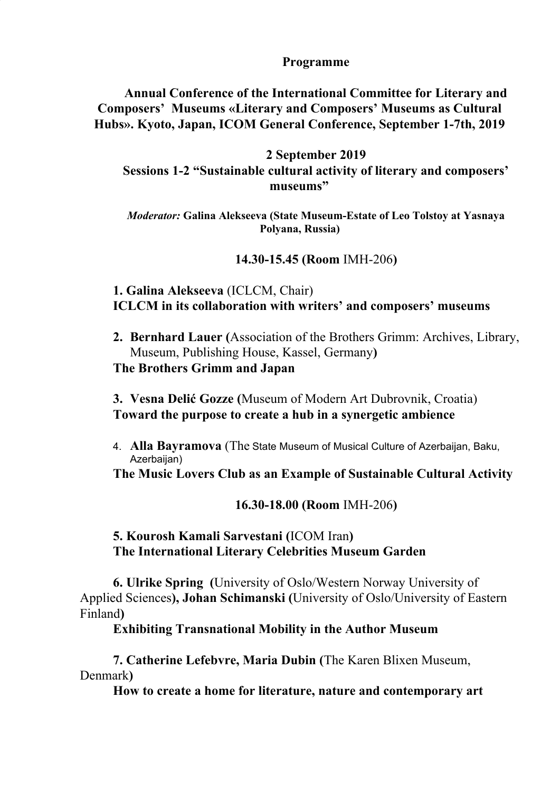### **Programme**

**Annual Conference of the International Committee for Literary and Composers' Museums «Literary and Composers' Museums as Cultural Hubs». Kyoto, Japan, ICOM General Conference, September 1-7th, 2019**

**2 September 2019 Sessions 1-2 "Sustainable cultural activity of literary and composers' museums"**

*Moderator:* **Galina Alekseeva (State Museum-Estate of Leo Tolstoy at Yasnaya Polyana, Russia)**

**14.30-15.45 (Room** IMH-206**)**

# **1. Galina Alekseeva** (ICLCM, Chair) **ICLCM in its collaboration with writers' and composers' museums**

- **2. Bernhard Lauer (**Association of the Brothers Grimm: Archives, Library, Museum, Publishing House, Kassel, Germany**) The Brothers Grimm and Japan**
- **3. Vesna Delić Gozze (**Museum of Modern Art Dubrovnik, Croatia) **Toward the purpose to create a hub in a synergetic ambience**
- 4. **Alla Bayramova** (The State Museum of Musical Culture of Azerbaijan, Baku, Azerbaijan)

**The Music Lovers Club as an Example of Sustainable Cultural Activity**

#### **16.30-18.00 (Room** IMH-206**)**

### **5. Kourosh Kamali Sarvestani (**ICOM Iran**) The International Literary Celebrities Museum Garden**

**6. Ulrike Spring (**University of Oslo/Western Norway University of Applied Sciences**), Johan Schimanski (**University of Oslo/University of Eastern Finland**)**

**Exhibiting Transnational Mobility in the Author Museum**

**7. Catherine Lefebvre, Maria Dubin (**The Karen Blixen Museum, Denmark**)**

**How to create a home for literature, nature and contemporary art**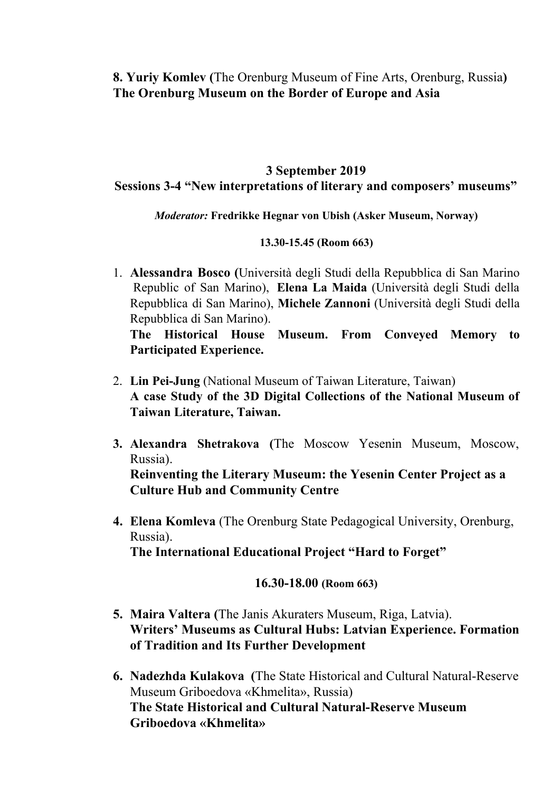# **8. Yuriy Komlev (**The Orenburg Museum of Fine Arts, Orenburg, Russia**) The Orenburg Museum on the Border of Europe and Asia**

### **3 September 2019**

# **Sessions 3-4 "New interpretations of literary and composers' museums"**

#### *Moderator:* **Fredrikke Hegnar von Ubish (Asker Museum, Norway)**

#### **13.30-15.45 (Room 663)**

1. **Alessandra Bosco (**Università degli Studi della Repubblica di San Marino Republic of San Marino), **Elena La Maida** (Università degli Studi della Repubblica di San Marino), **Michele Zannoni** (Università degli Studi della Repubblica di San Marino).

**The Historical House Museum. From Conveyed Memory to Participated Experience.**

- 2. **Lin Pei-Jung** (National Museum of Taiwan Literature, Taiwan) **A case Study of the 3D Digital Collections of the National Museum of Taiwan Literature, Taiwan.**
- **3. Alexandra Shetrakova (**The Moscow Yesenin Museum, Moscow, Russia).

**Reinventing the Literary Museum: the Yesenin Center Project as a Culture Hub and Community Centre**

**4. Elena Komleva** (The Orenburg State Pedagogical University, Orenburg, Russia). **The International Educational Project "Hard to Forget"**

#### **16.30-18.00 (Room 663)**

- **5. Maira Valtera (**The Janis Akuraters Museum, Riga, Latvia). **Writers' Museums as Cultural Hubs: Latvian Experience. Formation of Tradition and Its Further Development**
- **6. Nadezhda Kulakova (**The State Historical and Cultural Natural-Reserve Museum Griboedova «Khmelita», Russia) **The State Historical and Cultural Natural-Reserve Museum Griboedova «Khmelita»**